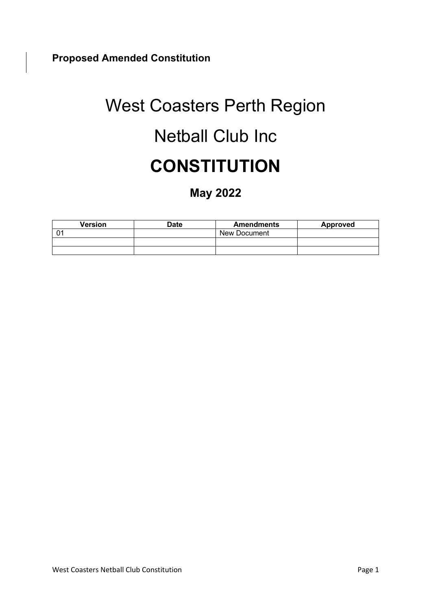# West Coasters Perth Region Netball Club Inc **CONSTITUTION**

## **May 2022**

| <b>Version</b> | Date | <b>Amendments</b>   | Approved |
|----------------|------|---------------------|----------|
|                |      | <b>New Document</b> |          |
|                |      |                     |          |
|                |      |                     |          |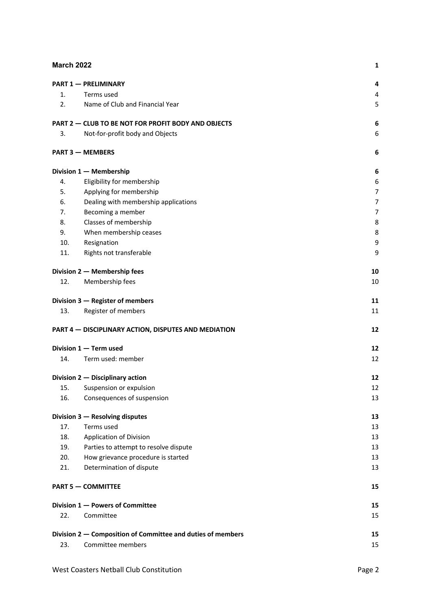| <b>March 2022</b> |                                                             | 1  |
|-------------------|-------------------------------------------------------------|----|
|                   | <b>PART 1 - PRELIMINARY</b>                                 | 4  |
| 1.                | Terms used                                                  | 4  |
| 2.                | Name of Club and Financial Year                             | 5  |
|                   | PART 2 - CLUB TO BE NOT FOR PROFIT BODY AND OBJECTS         | 6  |
| 3.                | Not-for-profit body and Objects                             | 6  |
|                   | <b>PART 3 - MEMBERS</b>                                     | 6  |
|                   | Division 1 - Membership                                     | 6  |
| 4.                | Eligibility for membership                                  | 6  |
| 5.                | Applying for membership                                     | 7  |
| 6.                | Dealing with membership applications                        | 7  |
| 7.                | Becoming a member                                           | 7  |
| 8.                | Classes of membership                                       | 8  |
| 9.                | When membership ceases                                      | 8  |
| 10.               | Resignation                                                 | 9  |
| 11.               | Rights not transferable                                     | 9  |
|                   | Division 2 - Membership fees                                | 10 |
| 12.               | Membership fees                                             | 10 |
|                   | Division 3 - Register of members                            | 11 |
| 13.               | Register of members                                         | 11 |
|                   | PART 4 - DISCIPLINARY ACTION, DISPUTES AND MEDIATION        | 12 |
|                   | Division 1 - Term used                                      | 12 |
| 14.               | Term used: member                                           | 12 |
|                   | Division 2 - Disciplinary action                            | 12 |
| 15.               | Suspension or expulsion                                     | 12 |
| 16.               | Consequences of suspension                                  | 13 |
|                   | Division 3 - Resolving disputes                             | 13 |
| 17.               | Terms used                                                  | 13 |
| 18.               | <b>Application of Division</b>                              | 13 |
| 19.               | Parties to attempt to resolve dispute                       | 13 |
| 20.               | How grievance procedure is started                          | 13 |
| 21.               | Determination of dispute                                    | 13 |
|                   | <b>PART 5 - COMMITTEE</b>                                   | 15 |
|                   | Division 1 - Powers of Committee                            | 15 |
| 22.               | Committee                                                   | 15 |
|                   | Division 2 – Composition of Committee and duties of members | 15 |
| 23.               | Committee members                                           | 15 |
|                   |                                                             |    |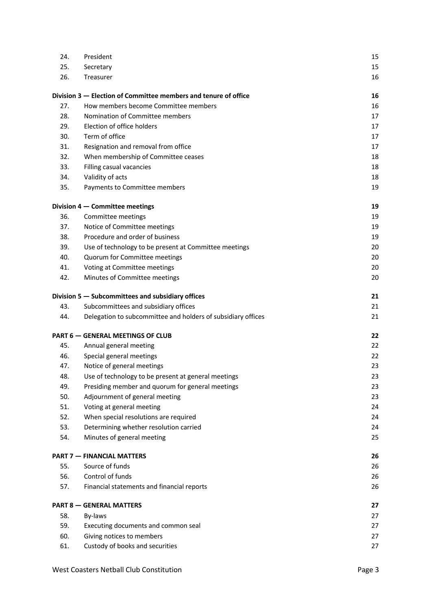| 24. | President                                                       | 15 |
|-----|-----------------------------------------------------------------|----|
| 25. | Secretary                                                       | 15 |
| 26. | Treasurer                                                       | 16 |
|     | Division 3 – Election of Committee members and tenure of office | 16 |
| 27. | How members become Committee members                            | 16 |
| 28. | Nomination of Committee members                                 | 17 |
| 29. | Election of office holders                                      | 17 |
| 30. | Term of office                                                  | 17 |
| 31. | Resignation and removal from office                             | 17 |
| 32. | When membership of Committee ceases                             | 18 |
| 33. | Filling casual vacancies                                        | 18 |
| 34. | Validity of acts                                                | 18 |
| 35. | Payments to Committee members                                   | 19 |
|     | Division 4 - Committee meetings                                 | 19 |
| 36. | Committee meetings                                              | 19 |
| 37. | Notice of Committee meetings                                    | 19 |
| 38. | Procedure and order of business                                 | 19 |
| 39. | Use of technology to be present at Committee meetings           | 20 |
| 40. | Quorum for Committee meetings                                   | 20 |
| 41. | Voting at Committee meetings                                    | 20 |
| 42. | Minutes of Committee meetings                                   | 20 |
|     | Division 5 - Subcommittees and subsidiary offices               | 21 |
| 43. | Subcommittees and subsidiary offices                            | 21 |
| 44. | Delegation to subcommittee and holders of subsidiary offices    | 21 |
|     | <b>PART 6 - GENERAL MEETINGS OF CLUB</b>                        | 22 |
| 45. | Annual general meeting                                          | 22 |
| 46. | Special general meetings                                        | 22 |
| 47. | Notice of general meetings                                      | 23 |
| 48. | Use of technology to be present at general meetings             | 23 |
| 49. | Presiding member and quorum for general meetings                | 23 |
| 50. | Adjournment of general meeting                                  | 23 |
| 51. | Voting at general meeting                                       | 24 |
| 52. | When special resolutions are required                           | 24 |
| 53. | Determining whether resolution carried                          | 24 |
| 54. | Minutes of general meeting                                      | 25 |
|     | <b>PART 7 - FINANCIAL MATTERS</b>                               | 26 |
| 55. | Source of funds                                                 | 26 |
| 56. | Control of funds                                                | 26 |
| 57. | Financial statements and financial reports                      | 26 |
|     | <b>PART 8 - GENERAL MATTERS</b>                                 | 27 |
| 58. | By-laws                                                         | 27 |
| 59. | Executing documents and common seal                             | 27 |
| 60. | Giving notices to members                                       | 27 |
| 61. | Custody of books and securities                                 | 27 |
|     |                                                                 |    |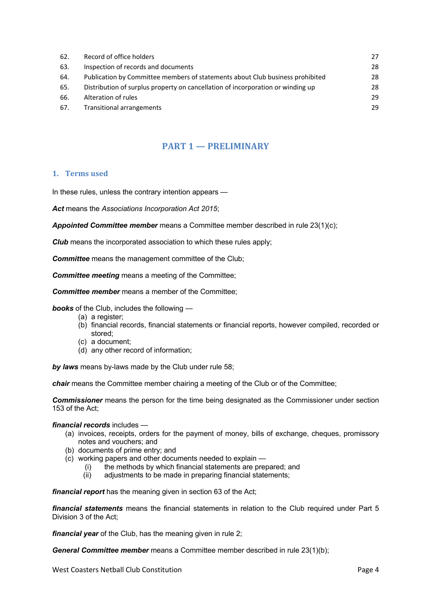| 62. | Record of office holders                                                        | 27 |
|-----|---------------------------------------------------------------------------------|----|
| 63. | Inspection of records and documents                                             | 28 |
| 64. | Publication by Committee members of statements about Club business prohibited   | 28 |
| 65. | Distribution of surplus property on cancellation of incorporation or winding up | 28 |
| 66. | Alteration of rules                                                             | 29 |
| 67. | Transitional arrangements                                                       | 29 |

## **PART 1 — PRELIMINARY**

#### **1. Terms used**

In these rules, unless the contrary intention appears —

*Act* means the *Associations Incorporation Act 2015*;

*Appointed Committee member* means a Committee member described in rule 23(1)(c);

**Club** means the incorporated association to which these rules apply;

**Committee** means the management committee of the Club;

*Committee meeting* means a meeting of the Committee;

*Committee member* means a member of the Committee;

*books* of the Club, includes the following —

- (a) a register;
- (b) financial records, financial statements or financial reports, however compiled, recorded or stored;
- (c) a document;
- (d) any other record of information;

*by laws* means by-laws made by the Club under rule 58;

*chair* means the Committee member chairing a meeting of the Club or of the Committee;

*Commissioner* means the person for the time being designated as the Commissioner under section 153 of the Act;

#### *financial records* includes —

- (a) invoices, receipts, orders for the payment of money, bills of exchange, cheques, promissory notes and vouchers; and
- (b) documents of prime entry; and
- (c) working papers and other documents needed to explain
	- (i) the methods by which financial statements are prepared; and
	- (ii) adjustments to be made in preparing financial statements;

*financial report* has the meaning given in section 63 of the Act;

*financial statements* means the financial statements in relation to the Club required under Part 5 Division 3 of the Act;

*financial year* of the Club, has the meaning given in rule 2;

*General Committee member* means a Committee member described in rule 23(1)(b);

West Coasters Netball Club Constitution **Page 4** and 2008 and 2011 and 2012 and 2013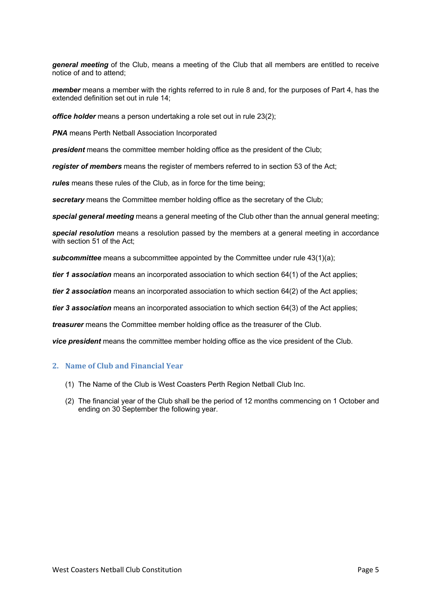*general meeting* of the Club, means a meeting of the Club that all members are entitled to receive notice of and to attend;

*member* means a member with the rights referred to in rule 8 and, for the purposes of Part 4, has the extended definition set out in rule 14;

*office holder* means a person undertaking a role set out in rule 23(2);

**PNA** means Perth Netball Association Incorporated

**president** means the committee member holding office as the president of the Club;

*register of members* means the register of members referred to in section 53 of the Act;

*rules* means these rules of the Club, as in force for the time being;

*secretary* means the Committee member holding office as the secretary of the Club;

*special general meeting* means a general meeting of the Club other than the annual general meeting;

*special resolution* means a resolution passed by the members at a general meeting in accordance with section 51 of the Act;

**subcommittee** means a subcommittee appointed by the Committee under rule 43(1)(a);

*tier 1 association* means an incorporated association to which section 64(1) of the Act applies;

*tier 2 association* means an incorporated association to which section 64(2) of the Act applies;

*tier 3 association* means an incorporated association to which section 64(3) of the Act applies;

*treasurer* means the Committee member holding office as the treasurer of the Club.

*vice president* means the committee member holding office as the vice president of the Club.

#### **2. Name of Club and Financial Year**

- (1) The Name of the Club is West Coasters Perth Region Netball Club Inc.
- (2) The financial year of the Club shall be the period of 12 months commencing on 1 October and ending on 30 September the following year.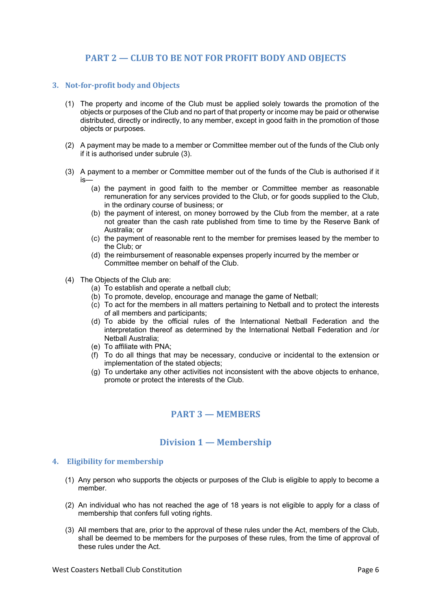## **PART 2 – CLUB TO BE NOT FOR PROFIT BODY AND OBIECTS**

#### **3. Not-for-profit body and Objects**

- (1) The property and income of the Club must be applied solely towards the promotion of the objects or purposes of the Club and no part of that property or income may be paid or otherwise distributed, directly or indirectly, to any member, except in good faith in the promotion of those objects or purposes.
- (2) A payment may be made to a member or Committee member out of the funds of the Club only if it is authorised under subrule (3).
- (3) A payment to a member or Committee member out of the funds of the Club is authorised if it is—
	- (a) the payment in good faith to the member or Committee member as reasonable remuneration for any services provided to the Club, or for goods supplied to the Club, in the ordinary course of business; or
	- (b) the payment of interest, on money borrowed by the Club from the member, at a rate not greater than the cash rate published from time to time by the Reserve Bank of Australia; or
	- (c) the payment of reasonable rent to the member for premises leased by the member to the Club; or
	- (d) the reimbursement of reasonable expenses properly incurred by the member or Committee member on behalf of the Club.
- (4) The Objects of the Club are:
	- (a) To establish and operate a netball club;
	- (b) To promote, develop, encourage and manage the game of Netball;
	- (c) To act for the members in all matters pertaining to Netball and to protect the interests of all members and participants;
	- (d) To abide by the official rules of the International Netball Federation and the interpretation thereof as determined by the International Netball Federation and /or Netball Australia;
	- (e) To affiliate with PNA;
	- (f) To do all things that may be necessary, conducive or incidental to the extension or implementation of the stated objects;
	- (g) To undertake any other activities not inconsistent with the above objects to enhance, promote or protect the interests of the Club.

## **PART 3 — MEMBERS**

#### **Division 1 — Membership**

#### **4. Eligibility for membership**

- (1) Any person who supports the objects or purposes of the Club is eligible to apply to become a member.
- (2) An individual who has not reached the age of 18 years is not eligible to apply for a class of membership that confers full voting rights.
- (3) All members that are, prior to the approval of these rules under the Act, members of the Club, shall be deemed to be members for the purposes of these rules, from the time of approval of these rules under the Act.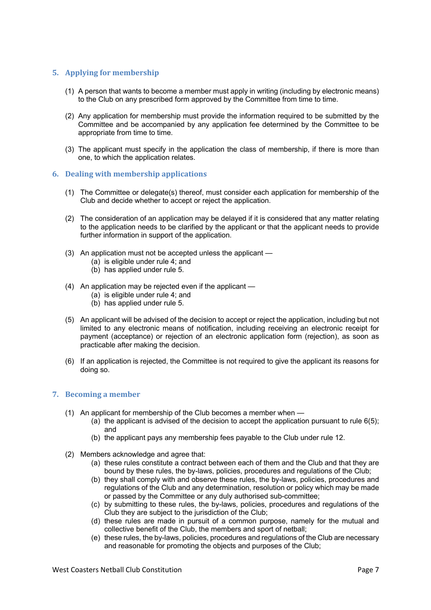#### **5.** Applying for membership

- (1) A person that wants to become a member must apply in writing (including by electronic means) to the Club on any prescribed form approved by the Committee from time to time.
- (2) Any application for membership must provide the information required to be submitted by the Committee and be accompanied by any application fee determined by the Committee to be appropriate from time to time.
- (3) The applicant must specify in the application the class of membership, if there is more than one, to which the application relates.

#### **6. Dealing with membership applications**

- (1) The Committee or delegate(s) thereof, must consider each application for membership of the Club and decide whether to accept or reject the application.
- (2) The consideration of an application may be delayed if it is considered that any matter relating to the application needs to be clarified by the applicant or that the applicant needs to provide further information in support of the application.
- (3) An application must not be accepted unless the applicant
	- (a) is eligible under rule 4; and
	- (b) has applied under rule 5.
- (4) An application may be rejected even if the applicant
	- (a) is eligible under rule 4; and
	- (b) has applied under rule 5.
- (5) An applicant will be advised of the decision to accept or reject the application, including but not limited to any electronic means of notification, including receiving an electronic receipt for payment (acceptance) or rejection of an electronic application form (rejection), as soon as practicable after making the decision.
- (6) If an application is rejected, the Committee is not required to give the applicant its reasons for doing so.

#### **7.** Becoming a member

- (1) An applicant for membership of the Club becomes a member when
	- (a) the applicant is advised of the decision to accept the application pursuant to rule 6(5); and
	- (b) the applicant pays any membership fees payable to the Club under rule 12.
- (2) Members acknowledge and agree that:
	- (a) these rules constitute a contract between each of them and the Club and that they are bound by these rules, the by-laws, policies, procedures and regulations of the Club;
	- (b) they shall comply with and observe these rules, the by-laws, policies, procedures and regulations of the Club and any determination, resolution or policy which may be made or passed by the Committee or any duly authorised sub-committee;
	- (c) by submitting to these rules, the by-laws, policies, procedures and regulations of the Club they are subject to the jurisdiction of the Club;
	- (d) these rules are made in pursuit of a common purpose, namely for the mutual and collective benefit of the Club, the members and sport of netball;
	- (e) these rules, the by-laws, policies, procedures and regulations of the Club are necessary and reasonable for promoting the objects and purposes of the Club;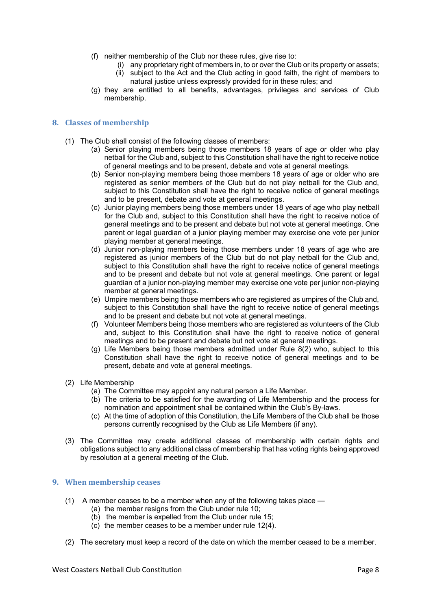- (f) neither membership of the Club nor these rules, give rise to:
	- (i) any proprietary right of members in, to or over the Club or its property or assets; (ii) subject to the Act and the Club acting in good faith, the right of members to natural justice unless expressly provided for in these rules; and
- (g) they are entitled to all benefits, advantages, privileges and services of Club membership.

#### **8. Classes of membership**

- (1) The Club shall consist of the following classes of members:
	- (a) Senior playing members being those members 18 years of age or older who play netball for the Club and, subject to this Constitution shall have the right to receive notice of general meetings and to be present, debate and vote at general meetings.
	- (b) Senior non-playing members being those members 18 years of age or older who are registered as senior members of the Club but do not play netball for the Club and, subject to this Constitution shall have the right to receive notice of general meetings and to be present, debate and vote at general meetings.
	- (c) Junior playing members being those members under 18 years of age who play netball for the Club and, subject to this Constitution shall have the right to receive notice of general meetings and to be present and debate but not vote at general meetings. One parent or legal guardian of a junior playing member may exercise one vote per junior playing member at general meetings.
	- (d) Junior non-playing members being those members under 18 years of age who are registered as junior members of the Club but do not play netball for the Club and, subject to this Constitution shall have the right to receive notice of general meetings and to be present and debate but not vote at general meetings. One parent or legal guardian of a junior non-playing member may exercise one vote per junior non-playing member at general meetings.
	- (e) Umpire members being those members who are registered as umpires of the Club and, subject to this Constitution shall have the right to receive notice of general meetings and to be present and debate but not vote at general meetings.
	- (f) Volunteer Members being those members who are registered as volunteers of the Club and, subject to this Constitution shall have the right to receive notice of general meetings and to be present and debate but not vote at general meetings.
	- (g) Life Members being those members admitted under Rule 8(2) who, subject to this Constitution shall have the right to receive notice of general meetings and to be present, debate and vote at general meetings.
- (2) Life Membership
	- (a) The Committee may appoint any natural person a Life Member.
	- (b) The criteria to be satisfied for the awarding of Life Membership and the process for nomination and appointment shall be contained within the Club's By-laws.
	- (c) At the time of adoption of this Constitution, the Life Members of the Club shall be those persons currently recognised by the Club as Life Members (if any).
- (3) The Committee may create additional classes of membership with certain rights and obligations subject to any additional class of membership that has voting rights being approved by resolution at a general meeting of the Club.

#### **9.** When membership ceases

- (1) A member ceases to be a member when any of the following takes place
	- (a) the member resigns from the Club under rule 10;
	- (b) the member is expelled from the Club under rule 15;
	- (c) the member ceases to be a member under rule 12(4).
- (2) The secretary must keep a record of the date on which the member ceased to be a member.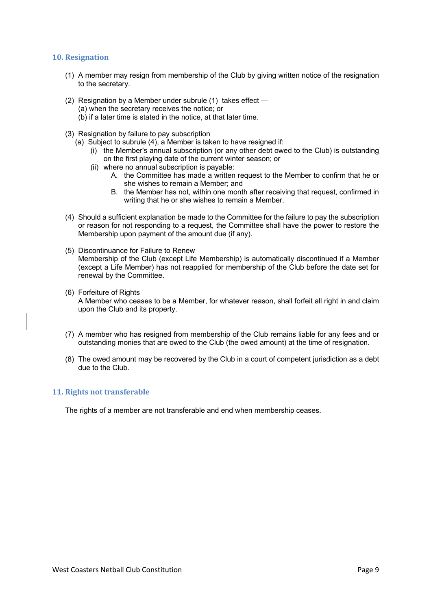#### **10. Resignation**

- (1) A member may resign from membership of the Club by giving written notice of the resignation to the secretary.
- (2) Resignation by a Member under subrule (1) takes effect (a) when the secretary receives the notice; or (b) if a later time is stated in the notice, at that later time.
	-
- (3) Resignation by failure to pay subscription
	- (a) Subject to subrule (4), a Member is taken to have resigned if:
		- (i) the Member's annual subscription (or any other debt owed to the Club) is outstanding on the first playing date of the current winter season; or
		- (ii) where no annual subscription is payable:
			- A. the Committee has made a written request to the Member to confirm that he or she wishes to remain a Member; and
			- B. the Member has not, within one month after receiving that request, confirmed in writing that he or she wishes to remain a Member.
- (4) Should a sufficient explanation be made to the Committee for the failure to pay the subscription or reason for not responding to a request, the Committee shall have the power to restore the Membership upon payment of the amount due (if any).
- (5) Discontinuance for Failure to Renew Membership of the Club (except Life Membership) is automatically discontinued if a Member (except a Life Member) has not reapplied for membership of the Club before the date set for renewal by the Committee.
- (6) Forfeiture of Rights

A Member who ceases to be a Member, for whatever reason, shall forfeit all right in and claim upon the Club and its property.

- (7) A member who has resigned from membership of the Club remains liable for any fees and or outstanding monies that are owed to the Club (the owed amount) at the time of resignation.
- (8) The owed amount may be recovered by the Club in a court of competent jurisdiction as a debt due to the Club.

#### **11. Rights not transferable**

The rights of a member are not transferable and end when membership ceases.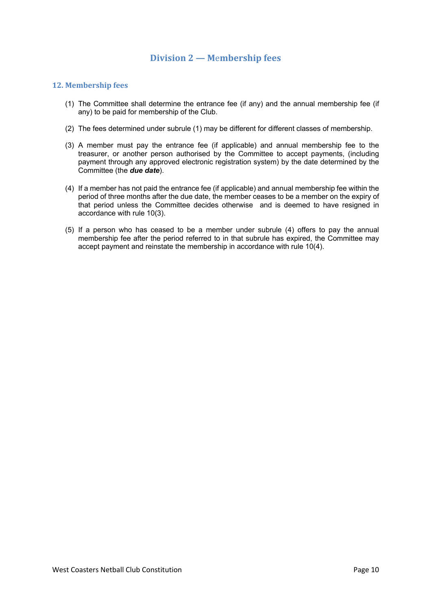## **Division 2 — M**e**mbership fees**

#### **12. Membership fees**

- (1) The Committee shall determine the entrance fee (if any) and the annual membership fee (if any) to be paid for membership of the Club.
- (2) The fees determined under subrule (1) may be different for different classes of membership.
- (3) A member must pay the entrance fee (if applicable) and annual membership fee to the treasurer, or another person authorised by the Committee to accept payments, (including payment through any approved electronic registration system) by the date determined by the Committee (the *due date*).
- (4) If a member has not paid the entrance fee (if applicable) and annual membership fee within the period of three months after the due date, the member ceases to be a member on the expiry of that period unless the Committee decides otherwise and is deemed to have resigned in accordance with rule 10(3).
- (5) If a person who has ceased to be a member under subrule (4) offers to pay the annual membership fee after the period referred to in that subrule has expired, the Committee may accept payment and reinstate the membership in accordance with rule 10(4).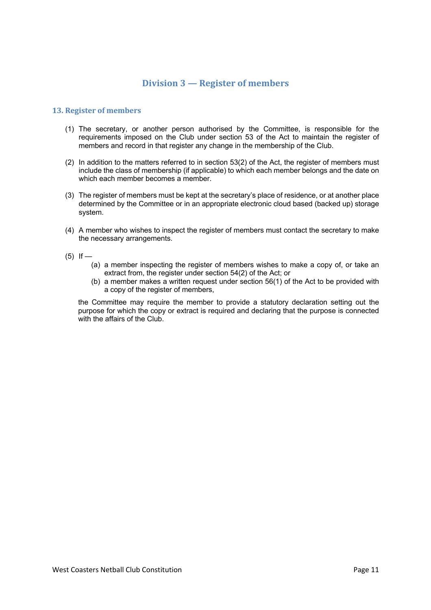## **Division 3 — Register of members**

#### **13. Register of members**

- (1) The secretary, or another person authorised by the Committee, is responsible for the requirements imposed on the Club under section 53 of the Act to maintain the register of members and record in that register any change in the membership of the Club.
- (2) In addition to the matters referred to in section 53(2) of the Act, the register of members must include the class of membership (if applicable) to which each member belongs and the date on which each member becomes a member.
- (3) The register of members must be kept at the secretary's place of residence, or at another place determined by the Committee or in an appropriate electronic cloud based (backed up) storage system.
- (4) A member who wishes to inspect the register of members must contact the secretary to make the necessary arrangements.
- $(5)$  If
	- (a) a member inspecting the register of members wishes to make a copy of, or take an extract from, the register under section 54(2) of the Act; or
	- (b) a member makes a written request under section 56(1) of the Act to be provided with a copy of the register of members,

the Committee may require the member to provide a statutory declaration setting out the purpose for which the copy or extract is required and declaring that the purpose is connected with the affairs of the Club.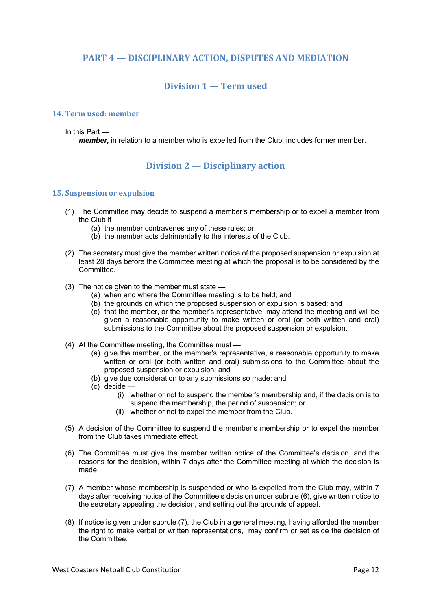## **PART 4 – DISCIPLINARY ACTION, DISPUTES AND MEDIATION**

## **Division 1 — Term used**

#### **14. Term used: member**

#### In this Part —

*member,* in relation to a member who is expelled from the Club, includes former member.

## **Division 2 — Disciplinary action**

#### **15. Suspension or expulsion**

- (1) The Committee may decide to suspend a member's membership or to expel a member from the Club if —
	- (a) the member contravenes any of these rules; or
	- (b) the member acts detrimentally to the interests of the Club.
- (2) The secretary must give the member written notice of the proposed suspension or expulsion at least 28 days before the Committee meeting at which the proposal is to be considered by the Committee.
- (3) The notice given to the member must state
	- (a) when and where the Committee meeting is to be held; and
	- (b) the grounds on which the proposed suspension or expulsion is based; and
	- (c) that the member, or the member's representative, may attend the meeting and will be given a reasonable opportunity to make written or oral (or both written and oral) submissions to the Committee about the proposed suspension or expulsion.
- (4) At the Committee meeting, the Committee must
	- (a) give the member, or the member's representative, a reasonable opportunity to make written or oral (or both written and oral) submissions to the Committee about the proposed suspension or expulsion; and
	- (b) give due consideration to any submissions so made; and
	- (c) decide
		- (i) whether or not to suspend the member's membership and, if the decision is to suspend the membership, the period of suspension; or
		- (ii) whether or not to expel the member from the Club.
- (5) A decision of the Committee to suspend the member's membership or to expel the member from the Club takes immediate effect.
- (6) The Committee must give the member written notice of the Committee's decision, and the reasons for the decision, within 7 days after the Committee meeting at which the decision is made.
- (7) A member whose membership is suspended or who is expelled from the Club may, within 7 days after receiving notice of the Committee's decision under subrule (6), give written notice to the secretary appealing the decision, and setting out the grounds of appeal.
- (8) If notice is given under subrule (7), the Club in a general meeting, having afforded the member the right to make verbal or written representations, may confirm or set aside the decision of the Committee.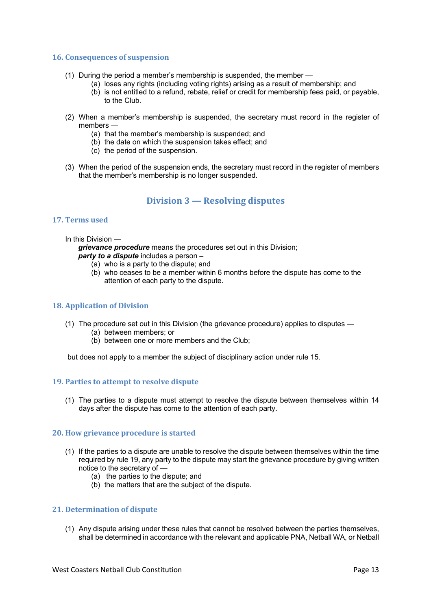#### **16. Consequences of suspension**

- (1) During the period a member's membership is suspended, the member
	- (a) loses any rights (including voting rights) arising as a result of membership; and
	- (b) is not entitled to a refund, rebate, relief or credit for membership fees paid, or payable, to the Club.
- (2) When a member's membership is suspended, the secretary must record in the register of members —
	- (a) that the member's membership is suspended; and
	- (b) the date on which the suspension takes effect; and
	- (c) the period of the suspension.
- (3) When the period of the suspension ends, the secretary must record in the register of members that the member's membership is no longer suspended.

## **Division 3 — Resolving disputes**

#### **17. Terms used**

In this Division —

*grievance procedure* means the procedures set out in this Division; *party to a dispute* includes a person –

- (a) who is a party to the dispute; and
	- (b) who ceases to be a member within 6 months before the dispute has come to the attention of each party to the dispute.

#### **18. Application of Division**

- (1) The procedure set out in this Division (the grievance procedure) applies to disputes
	- (a) between members; or
	- (b) between one or more members and the Club;

but does not apply to a member the subject of disciplinary action under rule 15.

#### **19. Parties to attempt to resolve dispute**

(1) The parties to a dispute must attempt to resolve the dispute between themselves within 14 days after the dispute has come to the attention of each party.

#### **20. How grievance procedure is started**

- (1) If the parties to a dispute are unable to resolve the dispute between themselves within the time required by rule 19, any party to the dispute may start the grievance procedure by giving written notice to the secretary of —
	- (a) the parties to the dispute; and
	- (b) the matters that are the subject of the dispute.

#### **21.** Determination of dispute

(1) Any dispute arising under these rules that cannot be resolved between the parties themselves, shall be determined in accordance with the relevant and applicable PNA, Netball WA, or Netball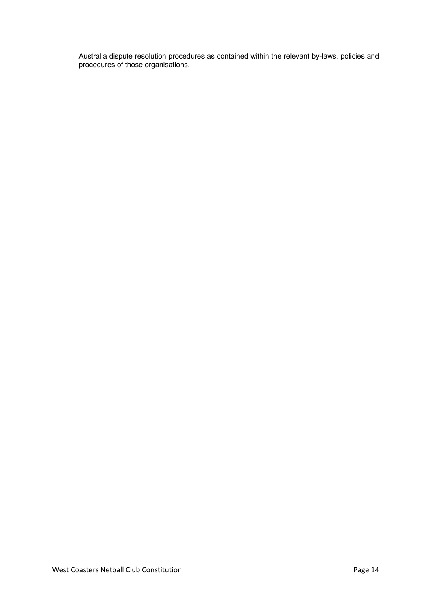Australia dispute resolution procedures as contained within the relevant by-laws, policies and procedures of those organisations.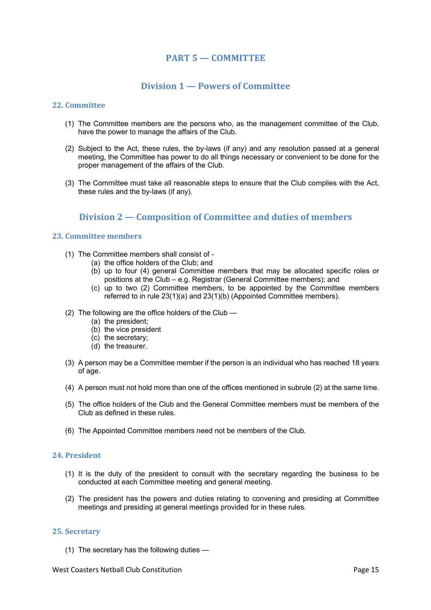## **PART 5 — COMMITTEE**

## **Division 1 — Powers of Committee**

#### **22. Committee**

- (1) The Committee members are the persons who, as the management committee of the Club, have the power to manage the affairs of the Club.
- (2) Subject to the Act, these rules, the by-laws (if any) and any resolution passed at a general meeting, the Committee has power to do all things necessary or convenient to be done for the proper management of the affairs of the Club.
- (3) The Committee must take all reasonable steps to ensure that the Club complies with the Act, these rules and the by-laws (if any).

## **Division 2 – Composition of Committee and duties of members**

#### **23. Committee members**

- (1) The Committee members shall consist of
	- (a) the office holders of the Club; and
	- (b) up to four (4) general Committee members that may be allocated specific roles or positions at the Club – e.g. Registrar (General Committee members); and
	- (c) up to two (2) Committee members, to be appointed by the Committee members referred to in rule 23(1)(a) and 23(1)(b) (Appointed Committee members).
- (2) The following are the office holders of the Club
	- (a) the president;
	- (b) the vice president
	- (c) the secretary;
	- (d) the treasurer.
- (3) A person may be a Committee member if the person is an individual who has reached 18 years of age.
- (4) A person must not hold more than one of the offices mentioned in subrule (2) at the same time.
- (5) The office holders of the Club and the General Committee members must be members of the Club as defined in these rules.
- (6) The Appointed Committee members need not be members of the Club.

#### **24. President**

- (1) It is the duty of the president to consult with the secretary regarding the business to be conducted at each Committee meeting and general meeting.
- (2) The president has the powers and duties relating to convening and presiding at Committee meetings and presiding at general meetings provided for in these rules.

#### **25. Secretary**

(1) The secretary has the following duties —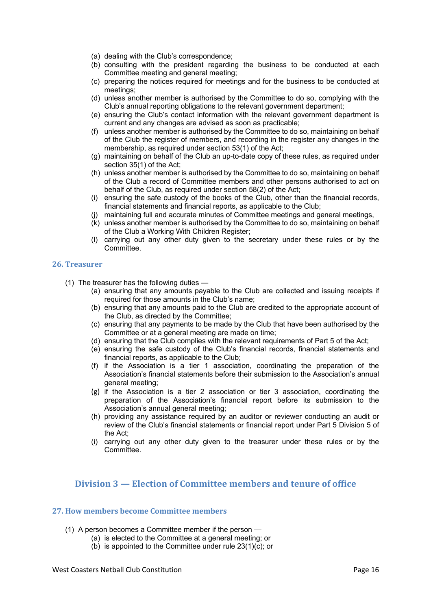- (a) dealing with the Club's correspondence;
- (b) consulting with the president regarding the business to be conducted at each Committee meeting and general meeting;
- (c) preparing the notices required for meetings and for the business to be conducted at meetings;
- (d) unless another member is authorised by the Committee to do so, complying with the Club's annual reporting obligations to the relevant government department;
- (e) ensuring the Club's contact information with the relevant government department is current and any changes are advised as soon as practicable;
- (f) unless another member is authorised by the Committee to do so, maintaining on behalf of the Club the register of members, and recording in the register any changes in the membership, as required under section 53(1) of the Act;
- (g) maintaining on behalf of the Club an up-to-date copy of these rules, as required under section 35(1) of the Act:
- (h) unless another member is authorised by the Committee to do so, maintaining on behalf of the Club a record of Committee members and other persons authorised to act on behalf of the Club, as required under section 58(2) of the Act;
- (i) ensuring the safe custody of the books of the Club, other than the financial records, financial statements and financial reports, as applicable to the Club;
- (j) maintaining full and accurate minutes of Committee meetings and general meetings,
- (k) unless another member is authorised by the Committee to do so, maintaining on behalf of the Club a Working With Children Register;
- (l) carrying out any other duty given to the secretary under these rules or by the Committee.

#### **26. Treasurer**

- (1) The treasurer has the following duties
	- (a) ensuring that any amounts payable to the Club are collected and issuing receipts if required for those amounts in the Club's name;
	- (b) ensuring that any amounts paid to the Club are credited to the appropriate account of the Club, as directed by the Committee;
	- (c) ensuring that any payments to be made by the Club that have been authorised by the Committee or at a general meeting are made on time;
	- (d) ensuring that the Club complies with the relevant requirements of Part 5 of the Act;
	- (e) ensuring the safe custody of the Club's financial records, financial statements and financial reports, as applicable to the Club;
	- (f) if the Association is a tier 1 association, coordinating the preparation of the Association's financial statements before their submission to the Association's annual general meeting;
	- (g) if the Association is a tier 2 association or tier 3 association, coordinating the preparation of the Association's financial report before its submission to the Association's annual general meeting;
	- (h) providing any assistance required by an auditor or reviewer conducting an audit or review of the Club's financial statements or financial report under Part 5 Division 5 of the Act;
	- (i) carrying out any other duty given to the treasurer under these rules or by the **Committee**

## **Division 3 – Election of Committee members and tenure of office**

#### **27. How members become Committee members**

- (1) A person becomes a Committee member if the person
	- (a) is elected to the Committee at a general meeting; or
	- (b) is appointed to the Committee under rule  $23(1)(c)$ ; or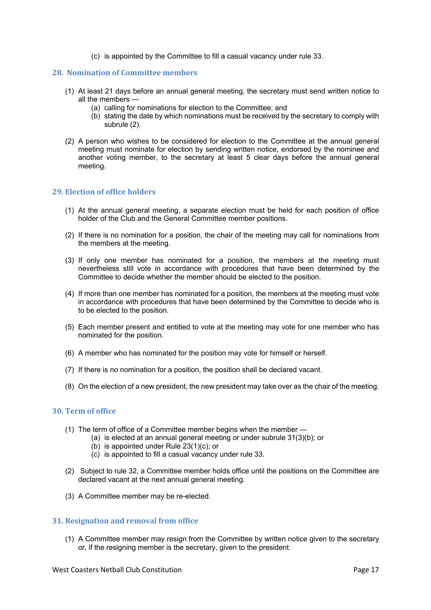(c) is appointed by the Committee to fill a casual vacancy under rule 33.

#### **28. Nomination of Committee members**

- (1) At least 21 days before an annual general meeting, the secretary must send written notice to all the members —
	- (a) calling for nominations for election to the Committee; and
	- (b) stating the date by which nominations must be received by the secretary to comply with subrule (2).
- (2) A person who wishes to be considered for election to the Committee at the annual general meeting must nominate for election by sending written notice, endorsed by the nominee and another voting member, to the secretary at least 5 clear days before the annual general meeting.

#### **29. Election of office holders**

- (1) At the annual general meeting, a separate election must be held for each position of office holder of the Club and the General Committee member positions.
- (2) If there is no nomination for a position, the chair of the meeting may call for nominations from the members at the meeting.
- (3) If only one member has nominated for a position, the members at the meeting must nevertheless still vote in accordance with procedures that have been determined by the Committee to decide whether the member should be elected to the position.
- (4) If more than one member has nominated for a position, the members at the meeting must vote in accordance with procedures that have been determined by the Committee to decide who is to be elected to the position.
- (5) Each member present and entitled to vote at the meeting may vote for one member who has nominated for the position.
- (6) A member who has nominated for the position may vote for himself or herself.
- (7) If there is no nomination for a position, the position shall be declared vacant.
- (8) On the election of a new president, the new president may take over as the chair of the meeting.

#### **30. Term of office**

- (1) The term of office of a Committee member begins when the member
	- (a) is elected at an annual general meeting or under subrule 31(3)(b); or
	- (b) is appointed under Rule 23(1)(c); or
	- (c) is appointed to fill a casual vacancy under rule 33.
- (2) Subject to rule 32, a Committee member holds office until the positions on the Committee are declared vacant at the next annual general meeting.
- (3) A Committee member may be re-elected.

#### **31. Resignation and removal from office**

(1) A Committee member may resign from the Committee by written notice given to the secretary or, if the resigning member is the secretary, given to the president.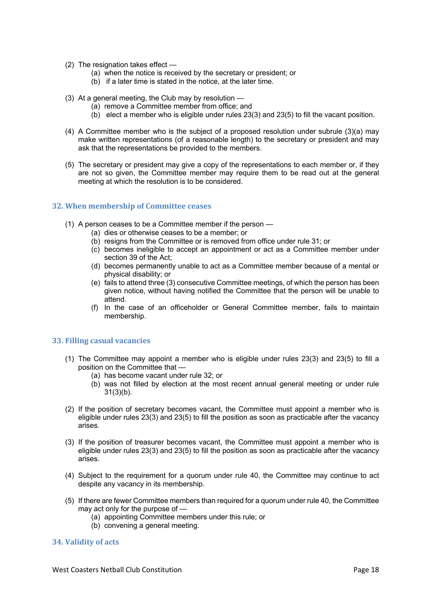- (2) The resignation takes effect
	- (a) when the notice is received by the secretary or president; or
	- (b) if a later time is stated in the notice, at the later time.
- (3) At a general meeting, the Club may by resolution
	- (a) remove a Committee member from office; and
	- $(b)$  elect a member who is eligible under rules 23(3) and 23(5) to fill the vacant position.
- (4) A Committee member who is the subject of a proposed resolution under subrule (3)(a) may make written representations (of a reasonable length) to the secretary or president and may ask that the representations be provided to the members.
- (5) The secretary or president may give a copy of the representations to each member or, if they are not so given, the Committee member may require them to be read out at the general meeting at which the resolution is to be considered.

#### **32. When membership of Committee ceases**

- (1) A person ceases to be a Committee member if the person
	- (a) dies or otherwise ceases to be a member; or
	- (b) resigns from the Committee or is removed from office under rule 31; or
	- (c) becomes ineligible to accept an appointment or act as a Committee member under section 39 of the Act;
	- (d) becomes permanently unable to act as a Committee member because of a mental or physical disability; or
	- (e) fails to attend three (3) consecutive Committee meetings, of which the person has been given notice, without having notified the Committee that the person will be unable to attend.
	- (f) In the case of an officeholder or General Committee member, fails to maintain membership.

#### **33. Filling casual vacancies**

- (1) The Committee may appoint a member who is eligible under rules 23(3) and 23(5) to fill a position on the Committee that —
	- (a) has become vacant under rule 32; or
	- (b) was not filled by election at the most recent annual general meeting or under rule 31(3)(b).
- (2) If the position of secretary becomes vacant, the Committee must appoint a member who is eligible under rules 23(3) and 23(5) to fill the position as soon as practicable after the vacancy arises.
- (3) If the position of treasurer becomes vacant, the Committee must appoint a member who is eligible under rules 23(3) and 23(5) to fill the position as soon as practicable after the vacancy arises.
- (4) Subject to the requirement for a quorum under rule 40, the Committee may continue to act despite any vacancy in its membership.
- (5) If there are fewer Committee members than required for a quorum under rule 40, the Committee may act only for the purpose of —
	- (a) appointing Committee members under this rule; or
	- (b) convening a general meeting.

#### **34. Validity of acts**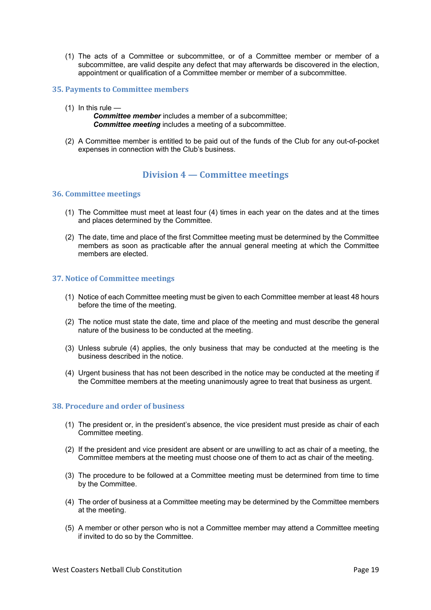(1) The acts of a Committee or subcommittee, or of a Committee member or member of a subcommittee, are valid despite any defect that may afterwards be discovered in the election, appointment or qualification of a Committee member or member of a subcommittee.

#### **35. Payments to Committee members**

 $(1)$  In this rule —

*Committee member* includes a member of a subcommittee; *Committee meeting* includes a meeting of a subcommittee.

(2) A Committee member is entitled to be paid out of the funds of the Club for any out-of-pocket expenses in connection with the Club's business.

## **Division 4 — Committee meetings**

#### **36. Committee meetings**

- (1) The Committee must meet at least four (4) times in each year on the dates and at the times and places determined by the Committee.
- (2) The date, time and place of the first Committee meeting must be determined by the Committee members as soon as practicable after the annual general meeting at which the Committee members are elected.

#### **37. Notice of Committee meetings**

- (1) Notice of each Committee meeting must be given to each Committee member at least 48 hours before the time of the meeting.
- (2) The notice must state the date, time and place of the meeting and must describe the general nature of the business to be conducted at the meeting.
- (3) Unless subrule (4) applies, the only business that may be conducted at the meeting is the business described in the notice.
- (4) Urgent business that has not been described in the notice may be conducted at the meeting if the Committee members at the meeting unanimously agree to treat that business as urgent.

#### **38. Procedure and order of business**

- (1) The president or, in the president's absence, the vice president must preside as chair of each Committee meeting.
- (2) If the president and vice president are absent or are unwilling to act as chair of a meeting, the Committee members at the meeting must choose one of them to act as chair of the meeting.
- (3) The procedure to be followed at a Committee meeting must be determined from time to time by the Committee.
- (4) The order of business at a Committee meeting may be determined by the Committee members at the meeting.
- (5) A member or other person who is not a Committee member may attend a Committee meeting if invited to do so by the Committee.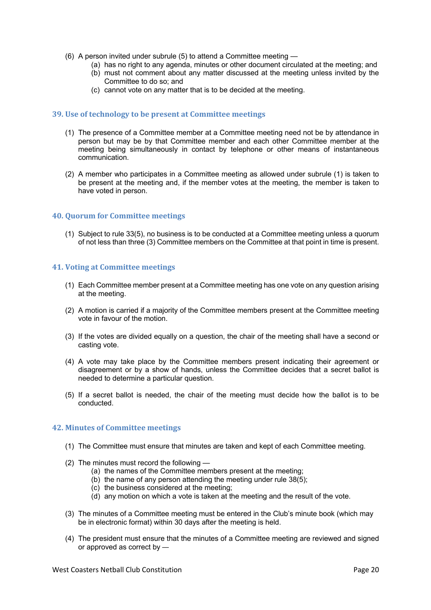- (6) A person invited under subrule (5) to attend a Committee meeting
	- (a) has no right to any agenda, minutes or other document circulated at the meeting; and
	- (b) must not comment about any matter discussed at the meeting unless invited by the Committee to do so; and
	- (c) cannot vote on any matter that is to be decided at the meeting.

#### **39. Use of technology to be present at Committee meetings**

- (1) The presence of a Committee member at a Committee meeting need not be by attendance in person but may be by that Committee member and each other Committee member at the meeting being simultaneously in contact by telephone or other means of instantaneous communication.
- (2) A member who participates in a Committee meeting as allowed under subrule (1) is taken to be present at the meeting and, if the member votes at the meeting, the member is taken to have voted in person.

#### **40. Quorum for Committee meetings**

(1) Subject to rule 33(5), no business is to be conducted at a Committee meeting unless a quorum of not less than three (3) Committee members on the Committee at that point in time is present.

#### **41. Voting at Committee meetings**

- (1) Each Committee member present at a Committee meeting has one vote on any question arising at the meeting.
- (2) A motion is carried if a majority of the Committee members present at the Committee meeting vote in favour of the motion.
- (3) If the votes are divided equally on a question, the chair of the meeting shall have a second or casting vote.
- (4) A vote may take place by the Committee members present indicating their agreement or disagreement or by a show of hands, unless the Committee decides that a secret ballot is needed to determine a particular question.
- (5) If a secret ballot is needed, the chair of the meeting must decide how the ballot is to be conducted.

#### **42. Minutes of Committee meetings**

- (1) The Committee must ensure that minutes are taken and kept of each Committee meeting.
- (2) The minutes must record the following
	- (a) the names of the Committee members present at the meeting;
	- (b) the name of any person attending the meeting under rule 38(5);
	- (c) the business considered at the meeting;
	- (d) any motion on which a vote is taken at the meeting and the result of the vote.
- (3) The minutes of a Committee meeting must be entered in the Club's minute book (which may be in electronic format) within 30 days after the meeting is held.
- (4) The president must ensure that the minutes of a Committee meeting are reviewed and signed or approved as correct by —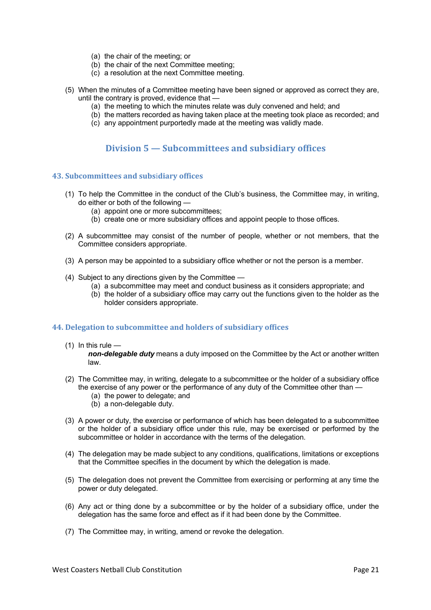- (a) the chair of the meeting; or
- (b) the chair of the next Committee meeting;
- (c) a resolution at the next Committee meeting.
- (5) When the minutes of a Committee meeting have been signed or approved as correct they are, until the contrary is proved, evidence that —
	- (a) the meeting to which the minutes relate was duly convened and held; and
	- (b) the matters recorded as having taken place at the meeting took place as recorded; and
	- (c) any appointment purportedly made at the meeting was validly made.

## **Division 5 — Subcommittees and subsidiary offices**

#### **43. Subcommittees and subs**i**diary offices**

- (1) To help the Committee in the conduct of the Club's business, the Committee may, in writing, do either or both of the following —
	- (a) appoint one or more subcommittees;
	- (b) create one or more subsidiary offices and appoint people to those offices.
- (2) A subcommittee may consist of the number of people, whether or not members, that the Committee considers appropriate.
- (3) A person may be appointed to a subsidiary office whether or not the person is a member.
- (4) Subject to any directions given by the Committee
	- (a) a subcommittee may meet and conduct business as it considers appropriate; and
	- (b) the holder of a subsidiary office may carry out the functions given to the holder as the holder considers appropriate.

#### **44. Delegation to subcommittee and holders of subsidiary offices**

 $(1)$  In this rule  $-$ 

*non-delegable duty* means a duty imposed on the Committee by the Act or another written law.

- (2) The Committee may, in writing, delegate to a subcommittee or the holder of a subsidiary office the exercise of any power or the performance of any duty of the Committee other than —
	- (a) the power to delegate; and
	- (b) a non-delegable duty.
- (3) A power or duty, the exercise or performance of which has been delegated to a subcommittee or the holder of a subsidiary office under this rule, may be exercised or performed by the subcommittee or holder in accordance with the terms of the delegation.
- (4) The delegation may be made subject to any conditions, qualifications, limitations or exceptions that the Committee specifies in the document by which the delegation is made.
- (5) The delegation does not prevent the Committee from exercising or performing at any time the power or duty delegated.
- (6) Any act or thing done by a subcommittee or by the holder of a subsidiary office, under the delegation has the same force and effect as if it had been done by the Committee.
- (7) The Committee may, in writing, amend or revoke the delegation.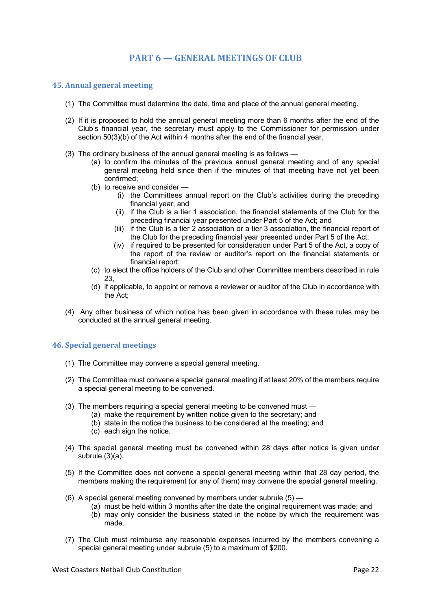#### **45. Annual general meeting**

- (1) The Committee must determine the date, time and place of the annual general meeting.
- (2) If it is proposed to hold the annual general meeting more than 6 months after the end of the Club's financial year, the secretary must apply to the Commissioner for permission under section 50(3)(b) of the Act within 4 months after the end of the financial year.
- (3) The ordinary business of the annual general meeting is as follows
	- (a) to confirm the minutes of the previous annual general meeting and of any special general meeting held since then if the minutes of that meeting have not yet been confirmed;
	- (b) to receive and consider
		- (i) the Committees annual report on the Club's activities during the preceding financial year; and
		- (ii) if the Club is a tier 1 association, the financial statements of the Club for the preceding financial year presented under Part 5 of the Act; and
		- (iii) if the Club is a tier 2 association or a tier 3 association, the financial report of the Club for the preceding financial year presented under Part 5 of the Act;
		- (iv) if required to be presented for consideration under Part 5 of the Act, a copy of the report of the review or auditor's report on the financial statements or financial report;
	- (c) to elect the office holders of the Club and other Committee members described in rule 23,
	- (d) if applicable, to appoint or remove a reviewer or auditor of the Club in accordance with the Act;
- (4) Any other business of which notice has been given in accordance with these rules may be conducted at the annual general meeting.

#### **46. Special general meetings**

- (1) The Committee may convene a special general meeting.
- (2) The Committee must convene a special general meeting if at least 20% of the members require a special general meeting to be convened.
- (3) The members requiring a special general meeting to be convened must
	- (a) make the requirement by written notice given to the secretary; and
		- (b) state in the notice the business to be considered at the meeting; and
		- (c) each sign the notice.
- (4) The special general meeting must be convened within 28 days after notice is given under subrule (3)(a).
- (5) If the Committee does not convene a special general meeting within that 28 day period, the members making the requirement (or any of them) may convene the special general meeting.
- (6) A special general meeting convened by members under subrule (5)
	- (a) must be held within 3 months after the date the original requirement was made; and
	- (b) may only consider the business stated in the notice by which the requirement was made.
- (7) The Club must reimburse any reasonable expenses incurred by the members convening a special general meeting under subrule (5) to a maximum of \$200.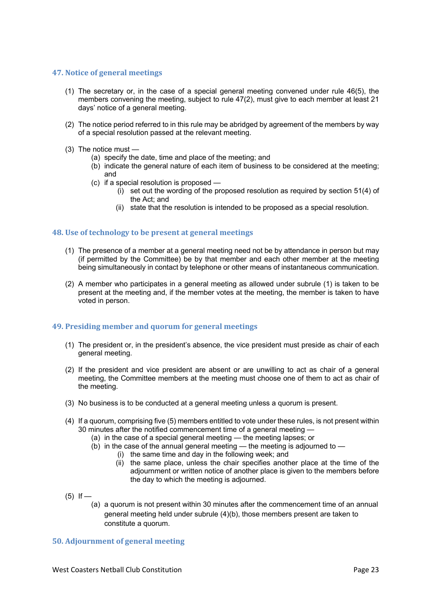#### **47. Notice of general meetings**

- (1) The secretary or, in the case of a special general meeting convened under rule 46(5), the members convening the meeting, subject to rule 47(2), must give to each member at least 21 days' notice of a general meeting.
- (2) The notice period referred to in this rule may be abridged by agreement of the members by way of a special resolution passed at the relevant meeting.
- (3) The notice must
	- (a) specify the date, time and place of the meeting; and
	- (b) indicate the general nature of each item of business to be considered at the meeting; and
	- (c) if a special resolution is proposed
		- (i) set out the wording of the proposed resolution as required by section 51(4) of the Act; and
		- (ii) state that the resolution is intended to be proposed as a special resolution.

#### **48.** Use of technology to be present at general meetings

- (1) The presence of a member at a general meeting need not be by attendance in person but may (if permitted by the Committee) be by that member and each other member at the meeting being simultaneously in contact by telephone or other means of instantaneous communication.
- (2) A member who participates in a general meeting as allowed under subrule (1) is taken to be present at the meeting and, if the member votes at the meeting, the member is taken to have voted in person.

#### **49. Presiding member and quorum for general meetings**

- (1) The president or, in the president's absence, the vice president must preside as chair of each general meeting.
- (2) If the president and vice president are absent or are unwilling to act as chair of a general meeting, the Committee members at the meeting must choose one of them to act as chair of the meeting.
- (3) No business is to be conducted at a general meeting unless a quorum is present.
- (4) If a quorum, comprising five (5) members entitled to vote under these rules, is not present within 30 minutes after the notified commencement time of a general meeting -
	- (a) in the case of a special general meeting the meeting lapses; or
	- (b) in the case of the annual general meeting the meeting is adjourned to
		- (i) the same time and day in the following week; and
		- (ii) the same place, unless the chair specifies another place at the time of the adjournment or written notice of another place is given to the members before the day to which the meeting is adjourned.
- $(5)$  If
	- (a) a quorum is not present within 30 minutes after the commencement time of an annual general meeting held under subrule (4)(b), those members present are taken to constitute a quorum.

#### **50. Adjournment of general meeting**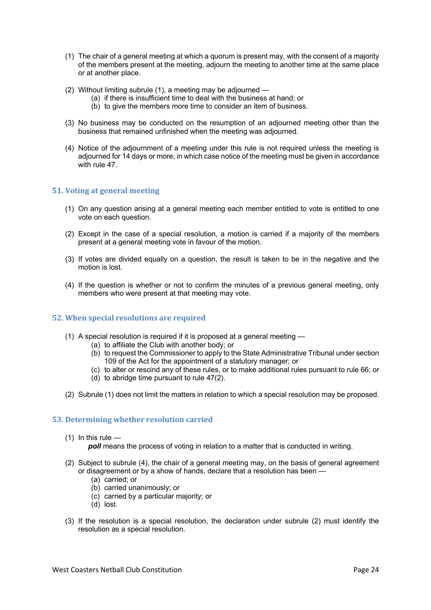- (1) The chair of a general meeting at which a quorum is present may, with the consent of a majority of the members present at the meeting, adjourn the meeting to another time at the same place or at another place.
- (2) Without limiting subrule (1), a meeting may be adjourned
	- (a) if there is insufficient time to deal with the business at hand; or
	- (b) to give the members more time to consider an item of business.
- (3) No business may be conducted on the resumption of an adjourned meeting other than the business that remained unfinished when the meeting was adjourned.
- (4) Notice of the adjournment of a meeting under this rule is not required unless the meeting is adjourned for 14 days or more, in which case notice of the meeting must be given in accordance with rule 47

#### **51. Voting at general meeting**

- (1) On any question arising at a general meeting each member entitled to vote is entitled to one vote on each question.
- (2) Except in the case of a special resolution, a motion is carried if a majority of the members present at a general meeting vote in favour of the motion.
- (3) If votes are divided equally on a question, the result is taken to be in the negative and the motion is lost.
- (4) If the question is whether or not to confirm the minutes of a previous general meeting, only members who were present at that meeting may vote.

#### **52. When special resolutions are required**

- (1) A special resolution is required if it is proposed at a general meeting
	- (a) to affiliate the Club with another body; or
	- (b) to request the Commissioner to apply to the State Administrative Tribunal under section 109 of the Act for the appointment of a statutory manager; or
	- (c) to alter or rescind any of these rules, or to make additional rules pursuant to rule 66; or
	- (d) to abridge time pursuant to rule 47(2).
- (2) Subrule (1) does not limit the matters in relation to which a special resolution may be proposed.

#### **53. Determining whether resolution carried**

 $(1)$  In this rule —

**poll** means the process of voting in relation to a matter that is conducted in writing.

- (2) Subject to subrule (4), the chair of a general meeting may, on the basis of general agreement or disagreement or by a show of hands, declare that a resolution has been —
	- (a) carried; or
	- (b) carried unanimously; or
	- (c) carried by a particular majority; or
	- (d) lost.
- (3) If the resolution is a special resolution, the declaration under subrule (2) must identify the resolution as a special resolution.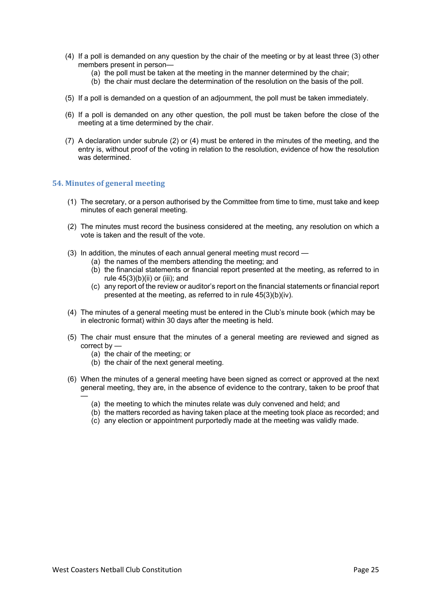- (4) If a poll is demanded on any question by the chair of the meeting or by at least three (3) other members present in person—
	- (a) the poll must be taken at the meeting in the manner determined by the chair;
	- (b) the chair must declare the determination of the resolution on the basis of the poll.
- (5) If a poll is demanded on a question of an adjournment, the poll must be taken immediately.
- (6) If a poll is demanded on any other question, the poll must be taken before the close of the meeting at a time determined by the chair.
- (7) A declaration under subrule (2) or (4) must be entered in the minutes of the meeting, and the entry is, without proof of the voting in relation to the resolution, evidence of how the resolution was determined.

#### **54. Minutes of general meeting**

- (1) The secretary, or a person authorised by the Committee from time to time, must take and keep minutes of each general meeting.
- (2) The minutes must record the business considered at the meeting, any resolution on which a vote is taken and the result of the vote.
- (3) In addition, the minutes of each annual general meeting must record
	- (a) the names of the members attending the meeting; and
		- (b) the financial statements or financial report presented at the meeting, as referred to in rule  $45(3)(b)(ii)$  or (iii); and
		- (c) any report of the review or auditor's report on the financial statements or financial report presented at the meeting, as referred to in rule 45(3)(b)(iv).
- (4) The minutes of a general meeting must be entered in the Club's minute book (which may be in electronic format) within 30 days after the meeting is held.
- (5) The chair must ensure that the minutes of a general meeting are reviewed and signed as correct by —
	- (a) the chair of the meeting; or
	- (b) the chair of the next general meeting.
- (6) When the minutes of a general meeting have been signed as correct or approved at the next general meeting, they are, in the absence of evidence to the contrary, taken to be proof that —
	- (a) the meeting to which the minutes relate was duly convened and held; and
	- (b) the matters recorded as having taken place at the meeting took place as recorded; and
	- (c) any election or appointment purportedly made at the meeting was validly made.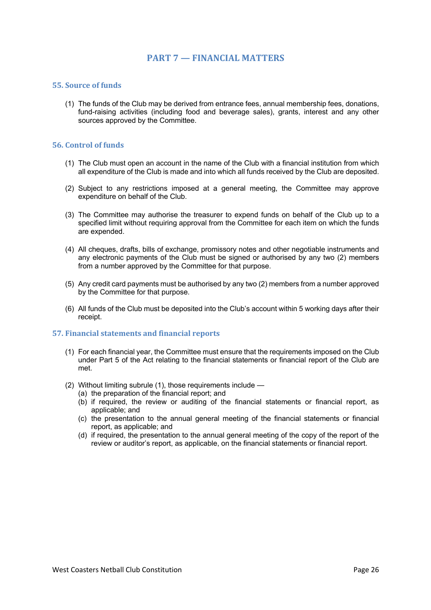## **PART 7 — FINANCIAL MATTERS**

#### **55.** Source of funds

(1) The funds of the Club may be derived from entrance fees, annual membership fees, donations, fund-raising activities (including food and beverage sales), grants, interest and any other sources approved by the Committee.

#### **56. Control of funds**

- (1) The Club must open an account in the name of the Club with a financial institution from which all expenditure of the Club is made and into which all funds received by the Club are deposited.
- (2) Subject to any restrictions imposed at a general meeting, the Committee may approve expenditure on behalf of the Club.
- (3) The Committee may authorise the treasurer to expend funds on behalf of the Club up to a specified limit without requiring approval from the Committee for each item on which the funds are expended.
- (4) All cheques, drafts, bills of exchange, promissory notes and other negotiable instruments and any electronic payments of the Club must be signed or authorised by any two (2) members from a number approved by the Committee for that purpose.
- (5) Any credit card payments must be authorised by any two (2) members from a number approved by the Committee for that purpose.
- (6) All funds of the Club must be deposited into the Club's account within 5 working days after their receipt.

#### **57. Financial statements and financial reports**

- (1) For each financial year, the Committee must ensure that the requirements imposed on the Club under Part 5 of the Act relating to the financial statements or financial report of the Club are met.
- (2) Without limiting subrule (1), those requirements include
	- (a) the preparation of the financial report; and
	- (b) if required, the review or auditing of the financial statements or financial report, as applicable; and
	- (c) the presentation to the annual general meeting of the financial statements or financial report, as applicable; and
	- (d) if required, the presentation to the annual general meeting of the copy of the report of the review or auditor's report, as applicable, on the financial statements or financial report.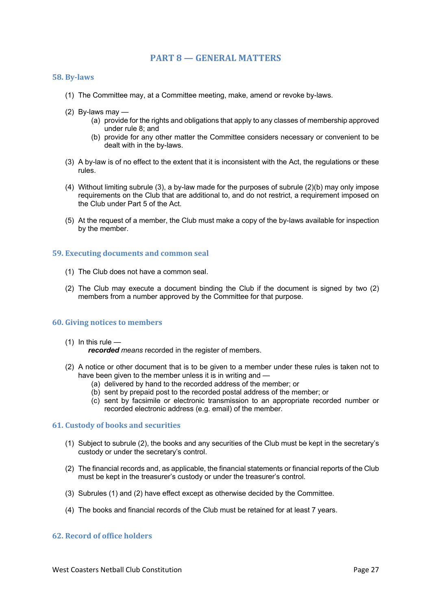## **PART 8 — GENERAL MATTERS**

#### **58. By-laws**

- (1) The Committee may, at a Committee meeting, make, amend or revoke by-laws.
- (2) By-laws may
	- (a) provide for the rights and obligations that apply to any classes of membership approved under rule 8; and
	- (b) provide for any other matter the Committee considers necessary or convenient to be dealt with in the by-laws.
- (3) A by-law is of no effect to the extent that it is inconsistent with the Act, the regulations or these rules.
- (4) Without limiting subrule (3), a by-law made for the purposes of subrule (2)(b) may only impose requirements on the Club that are additional to, and do not restrict, a requirement imposed on the Club under Part 5 of the Act.
- (5) At the request of a member, the Club must make a copy of the by-laws available for inspection by the member.

#### **59. Executing documents and common seal**

- (1) The Club does not have a common seal.
- (2) The Club may execute a document binding the Club if the document is signed by two (2) members from a number approved by the Committee for that purpose.

#### **60.** Giving notices to members

 $(1)$  In this rule  $-$ 

*recorded means* recorded in the register of members.

- (2) A notice or other document that is to be given to a member under these rules is taken not to have been given to the member unless it is in writing and —
	- (a) delivered by hand to the recorded address of the member; or
	- (b) sent by prepaid post to the recorded postal address of the member; or
	- (c) sent by facsimile or electronic transmission to an appropriate recorded number or recorded electronic address (e.g. email) of the member.

#### **61. Custody of books and securities**

- (1) Subject to subrule (2), the books and any securities of the Club must be kept in the secretary's custody or under the secretary's control.
- (2) The financial records and, as applicable, the financial statements or financial reports of the Club must be kept in the treasurer's custody or under the treasurer's control.
- (3) Subrules (1) and (2) have effect except as otherwise decided by the Committee.
- (4) The books and financial records of the Club must be retained for at least 7 years.

#### **62. Record of office holders**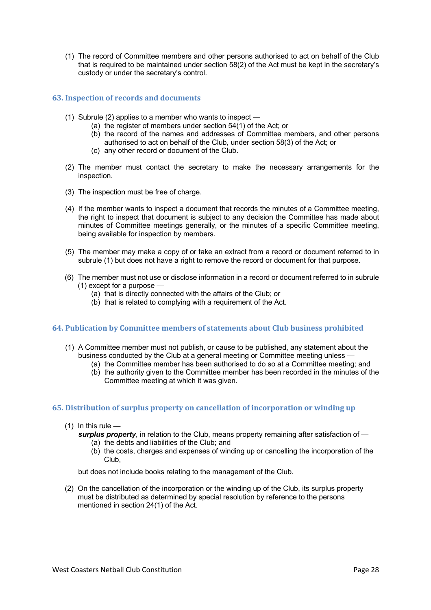(1) The record of Committee members and other persons authorised to act on behalf of the Club that is required to be maintained under section 58(2) of the Act must be kept in the secretary's custody or under the secretary's control.

#### **63. Inspection of records and documents**

- (1) Subrule (2) applies to a member who wants to inspect
	- (a) the register of members under section 54(1) of the Act; or
	- (b) the record of the names and addresses of Committee members, and other persons authorised to act on behalf of the Club, under section 58(3) of the Act; or
	- (c) any other record or document of the Club.
- (2) The member must contact the secretary to make the necessary arrangements for the inspection.
- (3) The inspection must be free of charge.
- (4) If the member wants to inspect a document that records the minutes of a Committee meeting, the right to inspect that document is subject to any decision the Committee has made about minutes of Committee meetings generally, or the minutes of a specific Committee meeting, being available for inspection by members.
- (5) The member may make a copy of or take an extract from a record or document referred to in subrule (1) but does not have a right to remove the record or document for that purpose.
- (6) The member must not use or disclose information in a record or document referred to in subrule (1) except for a purpose —
	- (a) that is directly connected with the affairs of the Club; or
	- (b) that is related to complying with a requirement of the Act.

#### **64. Publication by Committee members of statements about Club business prohibited**

- (1) A Committee member must not publish, or cause to be published, any statement about the business conducted by the Club at a general meeting or Committee meeting unless —
	- (a) the Committee member has been authorised to do so at a Committee meeting; and (b) the authority given to the Committee member has been recorded in the minutes of the Committee meeting at which it was given.

#### **65.** Distribution of surplus property on cancellation of incorporation or winding up

- $(1)$  In this rule
	- *surplus property*, in relation to the Club, means property remaining after satisfaction of (a) the debts and liabilities of the Club; and
		- (b) the costs, charges and expenses of winding up or cancelling the incorporation of the Club,

but does not include books relating to the management of the Club.

(2) On the cancellation of the incorporation or the winding up of the Club, its surplus property must be distributed as determined by special resolution by reference to the persons mentioned in section 24(1) of the Act.